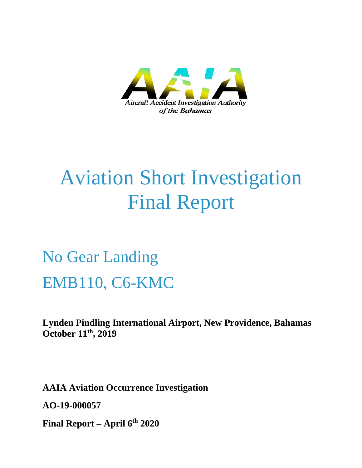

# Aviation Short Investigation Final Report

No Gear Landing EMB110, C6-KMC

**Lynden Pindling International Airport, New Providence, Bahamas October 11th, 2019**

**AAIA Aviation Occurrence Investigation** 

**AO-19-000057**

**Final Report – April 6th 2020**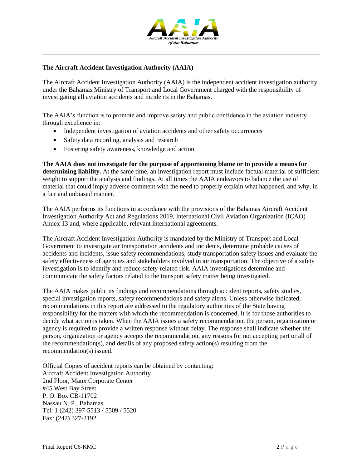

#### **The Aircraft Accident Investigation Authority (AAIA)**

The Aircraft Accident Investigation Authority (AAIA) is the independent accident investigation authority under the Bahamas Ministry of Transport and Local Government charged with the responsibility of investigating all aviation accidents and incidents in the Bahamas.

The AAIA's function is to promote and improve safety and public confidence in the aviation industry through excellence in:

- Independent investigation of aviation accidents and other safety occurrences
- Safety data recording, analysis and research
- Fostering safety awareness, knowledge and action.

**The AAIA does not investigate for the purpose of apportioning blame or to provide a means for determining liability.** At the same time, an investigation report must include factual material of sufficient weight to support the analysis and findings. At all times the AAIA endeavors to balance the use of material that could imply adverse comment with the need to properly explain what happened, and why, in a fair and unbiased manner.

The AAIA performs its functions in accordance with the provisions of the Bahamas Aircraft Accident Investigation Authority Act and Regulations 2019, International Civil Aviation Organization (ICAO) Annex 13 and, where applicable, relevant international agreements.

The Aircraft Accident Investigation Authority is mandated by the Ministry of Transport and Local Government to investigate air transportation accidents and incidents, determine probable causes of accidents and incidents, issue safety recommendations, study transportation safety issues and evaluate the safety effectiveness of agencies and stakeholders involved in air transportation. The objective of a safety investigation is to identify and reduce safety-related risk. AAIA investigations determine and communicate the safety factors related to the transport safety matter being investigated.

The AAIA makes public its findings and recommendations through accident reports, safety studies, special investigation reports, safety recommendations and safety alerts. Unless otherwise indicated, recommendations in this report are addressed to the regulatory authorities of the State having responsibility for the matters with which the recommendation is concerned. It is for those authorities to decide what action is taken. When the AAIA issues a safety recommendation, the person, organization or agency is required to provide a written response without delay. The response shall indicate whether the person, organization or agency accepts the recommendation, any reasons for not accepting part or all of the recommendation(s), and details of any proposed safety action(s) resulting from the recommendation(s) issued.

Official Copies of accident reports can be obtained by contacting: Aircraft Accident Investigation Authority 2nd Floor, Manx Corporate Center #45 West Bay Street P. O. Box CB-11702 Nassau N. P., Bahamas Tel: 1 (242) 397-5513 / 5509 / 5520 Fax: (242) 327-2192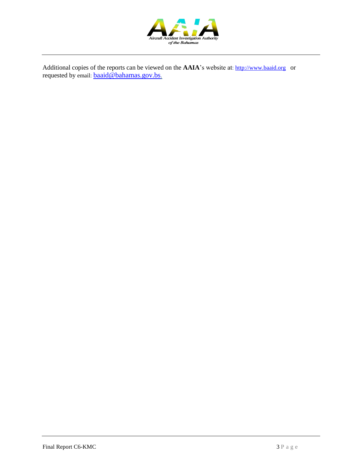

Additional copies of the reports can be viewed on the **AAIA**'s website at: [http://www.baaid.org](http://www.baaid.org/) or requested by email: **[baaid@bahamas.gov.bs](mailto:baaid@bahamas.gov.bs).**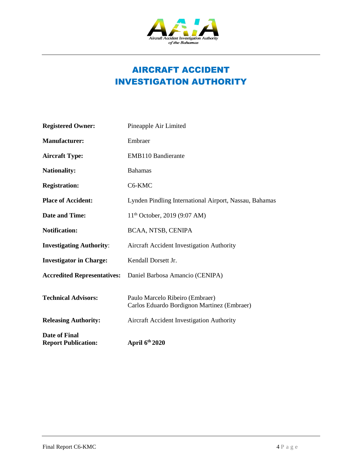

# AIRCRAFT ACCIDENT INVESTIGATION AUTHORITY

| <b>Registered Owner:</b>                    | Pineapple Air Limited                                                          |
|---------------------------------------------|--------------------------------------------------------------------------------|
| <b>Manufacturer:</b>                        | Embraer                                                                        |
| <b>Aircraft Type:</b>                       | <b>EMB110 Bandierante</b>                                                      |
| <b>Nationality:</b>                         | <b>Bahamas</b>                                                                 |
| <b>Registration:</b>                        | C6-KMC                                                                         |
| <b>Place of Accident:</b>                   | Lynden Pindling International Airport, Nassau, Bahamas                         |
| <b>Date and Time:</b>                       | 11 <sup>th</sup> October, 2019 (9:07 AM)                                       |
| <b>Notification:</b>                        | BCAA, NTSB, CENIPA                                                             |
| <b>Investigating Authority:</b>             | Aircraft Accident Investigation Authority                                      |
| <b>Investigator in Charge:</b>              | Kendall Dorsett Jr.                                                            |
| <b>Accredited Representatives:</b>          | Daniel Barbosa Amancio (CENIPA)                                                |
| <b>Technical Advisors:</b>                  | Paulo Marcelo Ribeiro (Embraer)<br>Carlos Eduardo Bordignon Martinez (Embraer) |
| <b>Releasing Authority:</b>                 | Aircraft Accident Investigation Authority                                      |
| Date of Final<br><b>Report Publication:</b> | April 6th 2020                                                                 |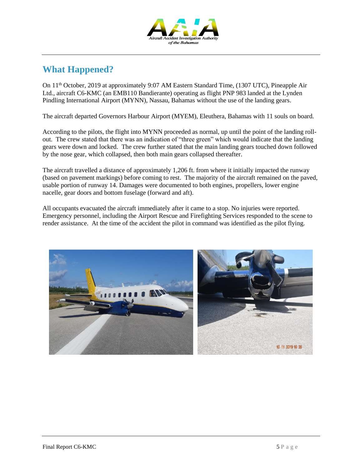

## **What Happened?**

On 11th October, 2019 at approximately 9:07 AM Eastern Standard Time, (1307 UTC), Pineapple Air Ltd., aircraft C6-KMC (an EMB110 Bandierante) operating as flight PNP 983 landed at the Lynden Pindling International Airport (MYNN), Nassau, Bahamas without the use of the landing gears.

The aircraft departed Governors Harbour Airport (MYEM), Eleuthera, Bahamas with 11 souls on board.

According to the pilots, the flight into MYNN proceeded as normal, up until the point of the landing rollout. The crew stated that there was an indication of "three green" which would indicate that the landing gears were down and locked. The crew further stated that the main landing gears touched down followed by the nose gear, which collapsed, then both main gears collapsed thereafter.

The aircraft travelled a distance of approximately 1,206 ft. from where it initially impacted the runway (based on pavement markings) before coming to rest. The majority of the aircraft remained on the paved, usable portion of runway 14. Damages were documented to both engines, propellers, lower engine nacelle, gear doors and bottom fuselage (forward and aft).

All occupants evacuated the aircraft immediately after it came to a stop. No injuries were reported. Emergency personnel, including the Airport Rescue and Firefighting Services responded to the scene to render assistance. At the time of the accident the pilot in command was identified as the pilot flying.

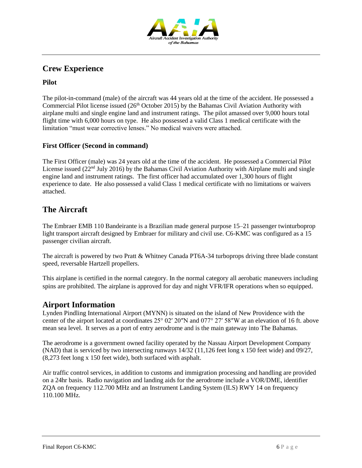

## **Crew Experience**

#### **Pilot**

The pilot-in-command (male) of the aircraft was 44 years old at the time of the accident. He possessed a Commercial Pilot license issued  $(26<sup>th</sup> October 2015)$  by the Bahamas Civil Aviation Authority with airplane multi and single engine land and instrument ratings. The pilot amassed over 9,000 hours total flight time with 6,000 hours on type. He also possessed a valid Class 1 medical certificate with the limitation "must wear corrective lenses." No medical waivers were attached.

#### **First Officer (Second in command)**

The First Officer (male) was 24 years old at the time of the accident. He possessed a Commercial Pilot License issued (22<sup>nd</sup> July 2016) by the Bahamas Civil Aviation Authority with Airplane multi and single engine land and instrument ratings. The first officer had accumulated over 1,300 hours of flight experience to date. He also possessed a valid Class 1 medical certificate with no limitations or waivers attached.

## **The Aircraft**

The Embraer EMB 110 Bandeirante is a Brazilian made general purpose 15–21 passenger twinturboprop light transport aircraft designed by Embraer for military and civil use. C6-KMC was configured as a 15 passenger civilian aircraft.

The aircraft is powered by two Pratt & Whitney Canada PT6A-34 turboprops driving three blade constant speed, reversable Hartzell propellers.

This airplane is certified in the normal category. In the normal category all aerobatic maneuvers including spins are prohibited. The airplane is approved for day and night VFR/IFR operations when so equipped.

### **Airport Information**

Lynden Pindling International Airport (MYNN) is situated on the island of New Providence with the center of the airport located at coordinates 25° 02′ 20″N [and 077° 27′ 58″W](https://tools.wmflabs.org/geohack/geohack.php?pagename=Lynden_Pindling_International_Airport¶ms=25_02_20_N_077_27_58_W_region:BS_type:airport) at an elevation of 16 ft. above mean sea level. It serves as a port of entry aerodrome and is the main gateway into The Bahamas.

The aerodrome is a government owned facility operated by the Nassau Airport Development Company (NAD) that is serviced by two intersecting runways 14/32 (11,126 feet long x 150 feet wide) and 09/27, (8,273 feet long x 150 feet wide), both surfaced with asphalt.

Air traffic control services, in addition to customs and immigration processing and handling are provided on a 24hr basis. Radio navigation and landing aids for the aerodrome include a VOR/DME, identifier ZQA on frequency 112.700 MHz and an Instrument Landing System (ILS) RWY 14 on frequency 110.100 MHz.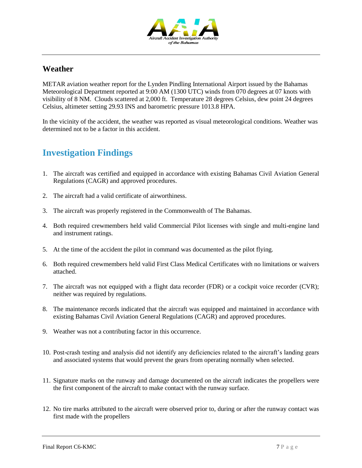

## **Weather**

METAR aviation weather report for the Lynden Pindling International Airport issued by the Bahamas Meteorological Department reported at 9:00 AM (1300 UTC) winds from 070 degrees at 07 knots with visibility of 8 NM. Clouds scattered at 2,000 ft. Temperature 28 degrees Celsius, dew point 24 degrees Celsius, altimeter setting 29.93 INS and barometric pressure 1013.8 HPA.

In the vicinity of the accident, the weather was reported as visual meteorological conditions. Weather was determined not to be a factor in this accident.

## **Investigation Findings**

- 1. The aircraft was certified and equipped in accordance with existing Bahamas Civil Aviation General Regulations (CAGR) and approved procedures.
- 2. The aircraft had a valid certificate of airworthiness.
- 3. The aircraft was properly registered in the Commonwealth of The Bahamas.
- 4. Both required crewmembers held valid Commercial Pilot licenses with single and multi-engine land and instrument ratings.
- 5. At the time of the accident the pilot in command was documented as the pilot flying.
- 6. Both required crewmembers held valid First Class Medical Certificates with no limitations or waivers attached.
- 7. The aircraft was not equipped with a flight data recorder (FDR) or a cockpit voice recorder (CVR); neither was required by regulations.
- 8. The maintenance records indicated that the aircraft was equipped and maintained in accordance with existing Bahamas Civil Aviation General Regulations (CAGR) and approved procedures.
- 9. Weather was not a contributing factor in this occurrence.
- 10. Post-crash testing and analysis did not identify any deficiencies related to the aircraft's landing gears and associated systems that would prevent the gears from operating normally when selected.
- 11. Signature marks on the runway and damage documented on the aircraft indicates the propellers were the first component of the aircraft to make contact with the runway surface.
- 12. No tire marks attributed to the aircraft were observed prior to, during or after the runway contact was first made with the propellers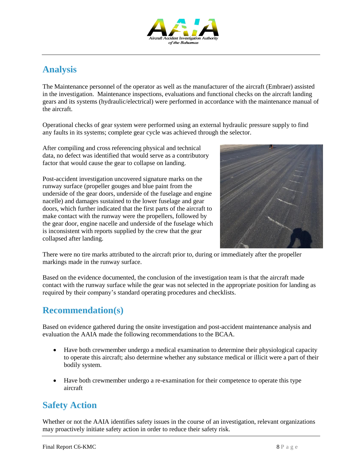

# **Analysis**

The Maintenance personnel of the operator as well as the manufacturer of the aircraft (Embraer) assisted in the investigation. Maintenance inspections, evaluations and functional checks on the aircraft landing gears and its systems (hydraulic/electrical) were performed in accordance with the maintenance manual of the aircraft.

Operational checks of gear system were performed using an external hydraulic pressure supply to find any faults in its systems; complete gear cycle was achieved through the selector.

After compiling and cross referencing physical and technical data, no defect was identified that would serve as a contributory factor that would cause the gear to collapse on landing.

Post-accident investigation uncovered signature marks on the runway surface (propeller gouges and blue paint from the underside of the gear doors, underside of the fuselage and engine nacelle) and damages sustained to the lower fuselage and gear doors, which further indicated that the first parts of the aircraft to make contact with the runway were the propellers, followed by the gear door, engine nacelle and underside of the fuselage which is inconsistent with reports supplied by the crew that the gear collapsed after landing.



There were no tire marks attributed to the aircraft prior to, during or immediately after the propeller markings made in the runway surface.

Based on the evidence documented, the conclusion of the investigation team is that the aircraft made contact with the runway surface while the gear was not selected in the appropriate position for landing as required by their company's standard operating procedures and checklists.

## **Recommendation(s)**

Based on evidence gathered during the onsite investigation and post-accident maintenance analysis and evaluation the AAIA made the following recommendations to the BCAA.

- Have both crewmember undergo a medical examination to determine their physiological capacity to operate this aircraft; also determine whether any substance medical or illicit were a part of their bodily system.
- Have both crewmember undergo a re-examination for their competence to operate this type aircraft

# **Safety Action**

Whether or not the AAIA identifies safety issues in the course of an investigation, relevant organizations may proactively initiate safety action in order to reduce their safety risk.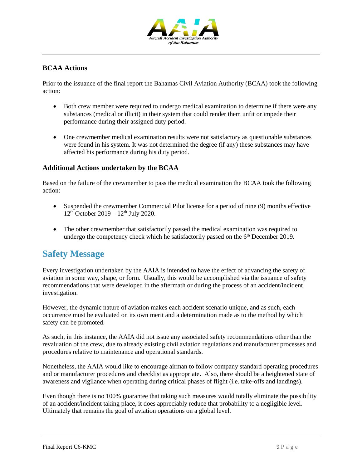

#### **BCAA Actions**

Prior to the issuance of the final report the Bahamas Civil Aviation Authority (BCAA) took the following action:

- Both crew member were required to undergo medical examination to determine if there were any substances (medical or illicit) in their system that could render them unfit or impede their performance during their assigned duty period.
- One crewmember medical examination results were not satisfactory as questionable substances were found in his system. It was not determined the degree (if any) these substances may have affected his performance during his duty period.

#### **Additional Actions undertaken by the BCAA**

Based on the failure of the crewmember to pass the medical examination the BCAA took the following action:

- Suspended the crewmember Commercial Pilot license for a period of nine (9) months effective  $12^{th}$  October  $2019 - 12^{th}$  July 2020.
- The other crewmember that satisfactorily passed the medical examination was required to undergo the competency check which he satisfactorily passed on the  $6<sup>th</sup>$  December 2019.

## **Safety Message**

Every investigation undertaken by the AAIA is intended to have the effect of advancing the safety of aviation in some way, shape, or form. Usually, this would be accomplished via the issuance of safety recommendations that were developed in the aftermath or during the process of an accident/incident investigation.

However, the dynamic nature of aviation makes each accident scenario unique, and as such, each occurrence must be evaluated on its own merit and a determination made as to the method by which safety can be promoted.

As such, in this instance, the AAIA did not issue any associated safety recommendations other than the revaluation of the crew, due to already existing civil aviation regulations and manufacturer processes and procedures relative to maintenance and operational standards.

Nonetheless, the AAIA would like to encourage airman to follow company standard operating procedures and or manufacturer procedures and checklist as appropriate. Also, there should be a heightened state of awareness and vigilance when operating during critical phases of flight (i.e. take-offs and landings).

Even though there is no 100% guarantee that taking such measures would totally eliminate the possibility of an accident/incident taking place, it does appreciably reduce that probability to a negligible level. Ultimately that remains the goal of aviation operations on a global level.